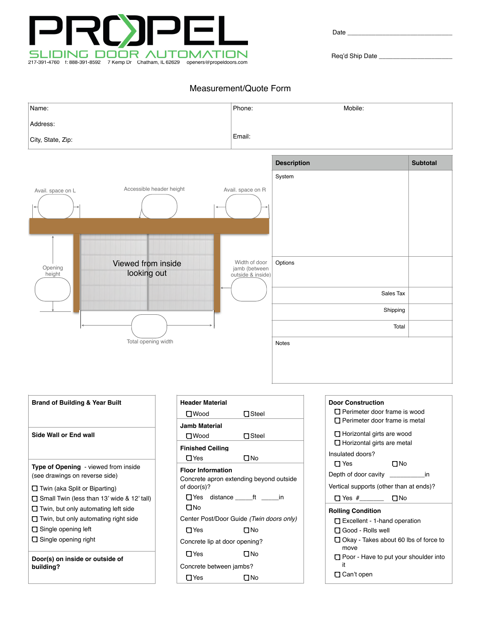

Date  $\_$ 

Req'd Ship Date \_

## Measurement/Quote Form